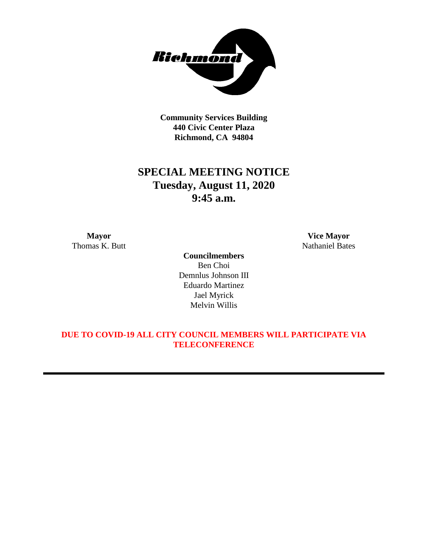

**Community Services Building 440 Civic Center Plaza Richmond, CA 94804**

# **SPECIAL MEETING NOTICE Tuesday, August 11, 2020 9:45 a.m.**

**Councilmembers** Ben Choi Demnlus Johnson III Eduardo Martinez Jael Myrick Melvin Willis

**Mayor Vice Mayor** Thomas K. Butt Nathaniel Bates

# **DUE TO COVID-19 ALL CITY COUNCIL MEMBERS WILL PARTICIPATE VIA TELECONFERENCE**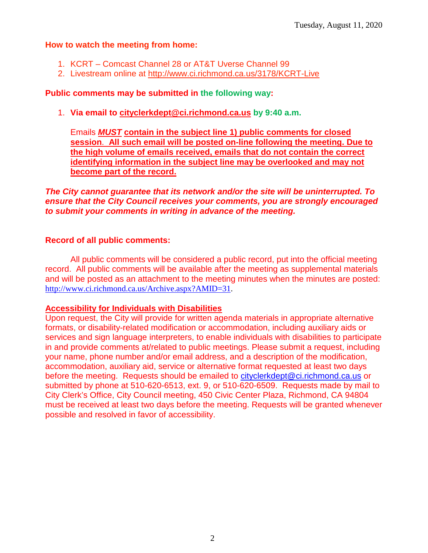#### **How to watch the meeting from home:**

- 1. KCRT Comcast Channel 28 or AT&T Uverse Channel 99
- 2. Livestream online at<http://www.ci.richmond.ca.us/3178/KCRT-Live>

# **Public comments may be submitted in the following way:**

1. **Via email to [cityclerkdept@ci.richmond.ca.us](mailto:cityclerkdept@ci.richmond.ca.us) by 9:40 a.m.** 

Emails *MUST* **contain in the subject line 1) public comments for closed session**. **All such email will be posted on-line following the meeting. Due to the high volume of emails received, emails that do not contain the correct identifying information in the subject line may be overlooked and may not become part of the record.**

*The City cannot guarantee that its network and/or the site will be uninterrupted. To ensure that the City Council receives your comments, you are strongly encouraged to submit your comments in writing in advance of the meeting.*

### **Record of all public comments:**

All public comments will be considered a public record, put into the official meeting record. All public comments will be available after the meeting as supplemental materials and will be posted as an attachment to the meeting minutes when the minutes are posted: [http://www.ci.richmond.ca.us/Archive.aspx?AMID=31.](http://www.ci.richmond.ca.us/Archive.aspx?AMID=31)

### **Accessibility for Individuals with Disabilities**

Upon request, the City will provide for written agenda materials in appropriate alternative formats, or disability-related modification or accommodation, including auxiliary aids or services and sign language interpreters, to enable individuals with disabilities to participate in and provide comments at/related to public meetings. Please submit a request, including your name, phone number and/or email address, and a description of the modification, accommodation, auxiliary aid, service or alternative format requested at least two days before the meeting. Requests should be emailed to [cityclerkdept@ci.richmond.ca.us](mailto:cityclerkdept@ci.richmond.ca.us) or submitted by phone at 510-620-6513, ext. 9, or 510-620-6509. Requests made by mail to City Clerk's Office, City Council meeting, 450 Civic Center Plaza, Richmond, CA 94804 must be received at least two days before the meeting. Requests will be granted whenever possible and resolved in favor of accessibility.